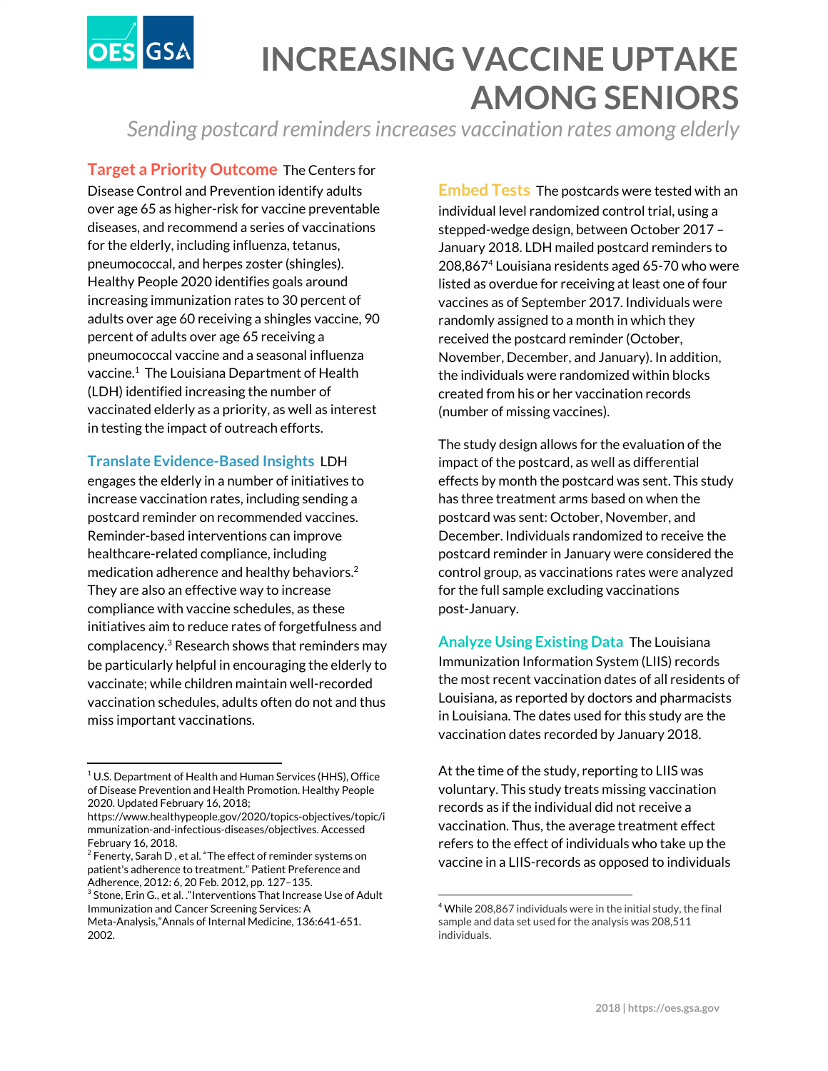

## **INCREASING VACCINE UPTAKE AMONG SENIORS**

*Sending postcard remindersincreases vaccination rates among elderly*

**Target a Priority Outcome** The Centers for Disease Control and Prevention identify adults over age 65 as higher-risk for vaccine preventable diseases, and recommend a series of vaccinations for the elderly, including influenza, tetanus, pneumococcal, and herpes zoster (shingles). Healthy People 2020 identifies goals around increasing immunization rates to 30 percent of adults over age 60 receiving a shingles vaccine, 90 percent of adults over age 65 receiving a pneumococcal vaccine and a seasonal influenza vaccine. $1$  The Louisiana Department of Health (LDH) identified increasing the number of vaccinated elderly as a priority, as well as interest in testing the impact of outreach efforts.

## **Translate Evidence-Based Insights** LDH

engages the elderly in a number of initiatives to increase vaccination rates, including sending a postcard reminder on recommended vaccines. Reminder-based interventions can improve healthcare-related compliance, including medication adherence and healthy behaviors. 2 They are also an effective way to increase compliance with vaccine schedules, as these initiatives aim to reduce rates of forgetfulness and complacency. $3$  Research shows that reminders may be particularly helpful in encouraging the elderly to vaccinate; while children maintain well-recorded vaccination schedules, adults often do not and thus miss important vaccinations.

**Embed Tests** The postcards were tested with an individual level randomized control trial, using a stepped-wedge design, between October 2017 – January 2018. LDH mailed postcard reminders to 208,867<sup>4</sup> Louisiana residents aged 65-70 who were listed as overdue for receiving at least one of four vaccines as of September 2017. Individuals were randomly assigned to a month in which they received the postcard reminder (October, November, December, and January). In addition, the individuals were randomized within blocks created from his or her vaccination records (number of missing vaccines).

The study design allows for the evaluation of the impact of the postcard, as well as differential effects by month the postcard was sent. This study has three treatment arms based on when the postcard was sent: October, November, and December. Individuals randomized to receive the postcard reminder in January were considered the control group, as vaccinations rates were analyzed for the full sample excluding vaccinations post-January.

**Analyze Using Existing Data** The Louisiana Immunization Information System (LIIS) records the most recent vaccination dates of all residents of Louisiana, as reported by doctors and pharmacists in Louisiana. The dates used for this study are the vaccination dates recorded by January 2018.

At the time of the study, reporting to LIIS was voluntary. This study treats missing vaccination records as if the individual did not receive a vaccination. Thus, the average treatment effect refers to the effect of individuals who take up the vaccine in a LIIS-records as opposed to individuals

 $1$  U.S. Department of Health and Human Services (HHS), Office of Disease Prevention and Health Promotion. Healthy People 2020. Updated February 16, 2018;

https://www.healthypeople.gov/2020/topics-objectives/topic/i mmunization-and-infectious-diseases/objectives. Accessed February 16, 2018.

 $2$  Fenerty, Sarah D, et al. "The effect of reminder systems on patient's adherence to treatment." Patient Preference and Adherence, 2012: 6, 20 Feb. 2012, pp. 127–135.

<sup>&</sup>lt;sup>3</sup> Stone, Erin G., et al. . "Interventions That Increase Use of Adult Immunization and Cancer Screening Services: A

Meta-Analysis,"Annals of Internal Medicine, 136:641-651. 2002.

 $4$  While 208,867 individuals were in the initial study, the final sample and data set used for the analysis was 208,511 individuals.